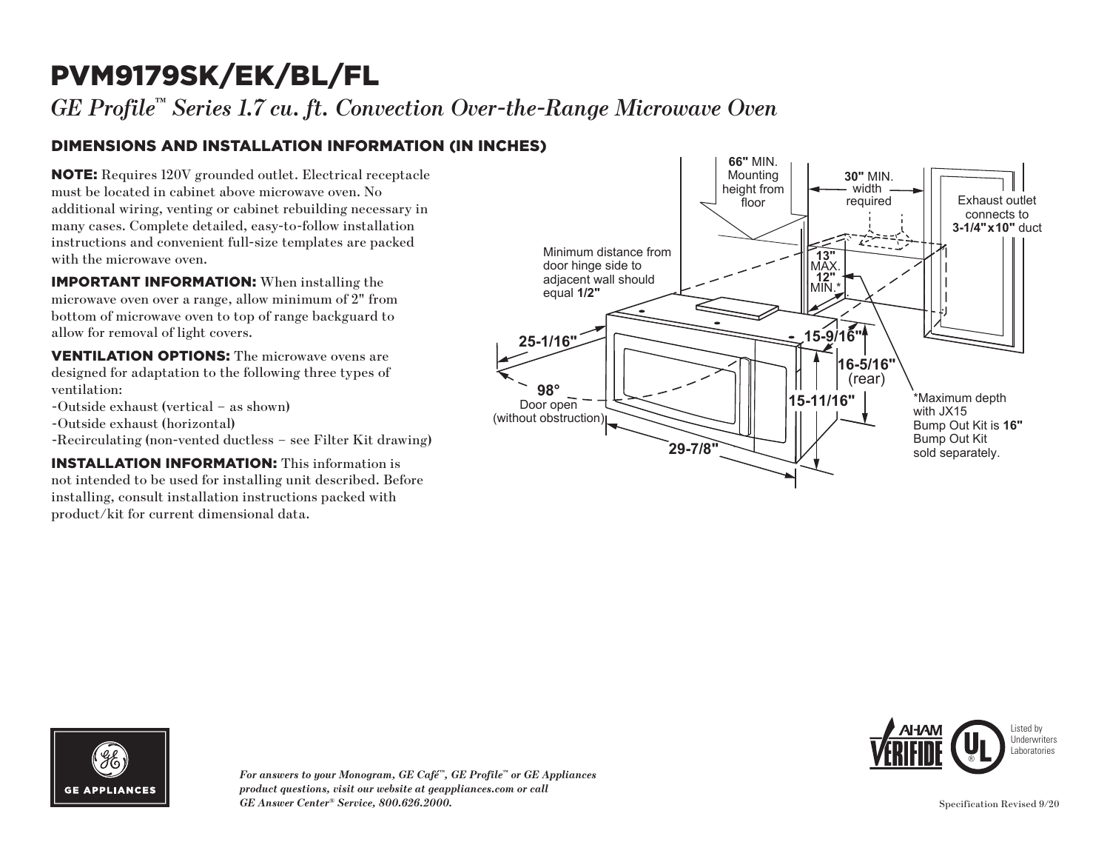# PVM9179SK/EK/BL/FL

*GE Profile™ Series 1.7 cu. ft. Convection Over-the-Range Microwave Oven*

## DIMENSIONS AND INSTALLATION INFORMATION (IN INCHES)

NOTE: Requires 120V grounded outlet. Electrical receptacle must be located in cabinet above microwave oven. No additional wiring, venting or cabinet rebuilding necessary in many cases. Complete detailed, easy-to-follow installation instructions and convenient full-size templates are packed with the microwave oven.

IMPORTANT INFORMATION: When installing the microwave oven over a range, allow minimum of 2" from bottom of microwave oven to top of range backguard to allow for removal of light covers.

VENTILATION OPTIONS: The microwave ovens are designed for adaptation to the following three types of ventilation:

- -Outside exhaust (vertical as shown)
- -Outside exhaust (horizontal)
- -Recirculating (non-vented ductless see Filter Kit drawing)

INSTALLATION INFORMATION: This information is not intended to be used for installing unit described. Before installing, consult installation instructions packed with product/kit for current dimensional data.







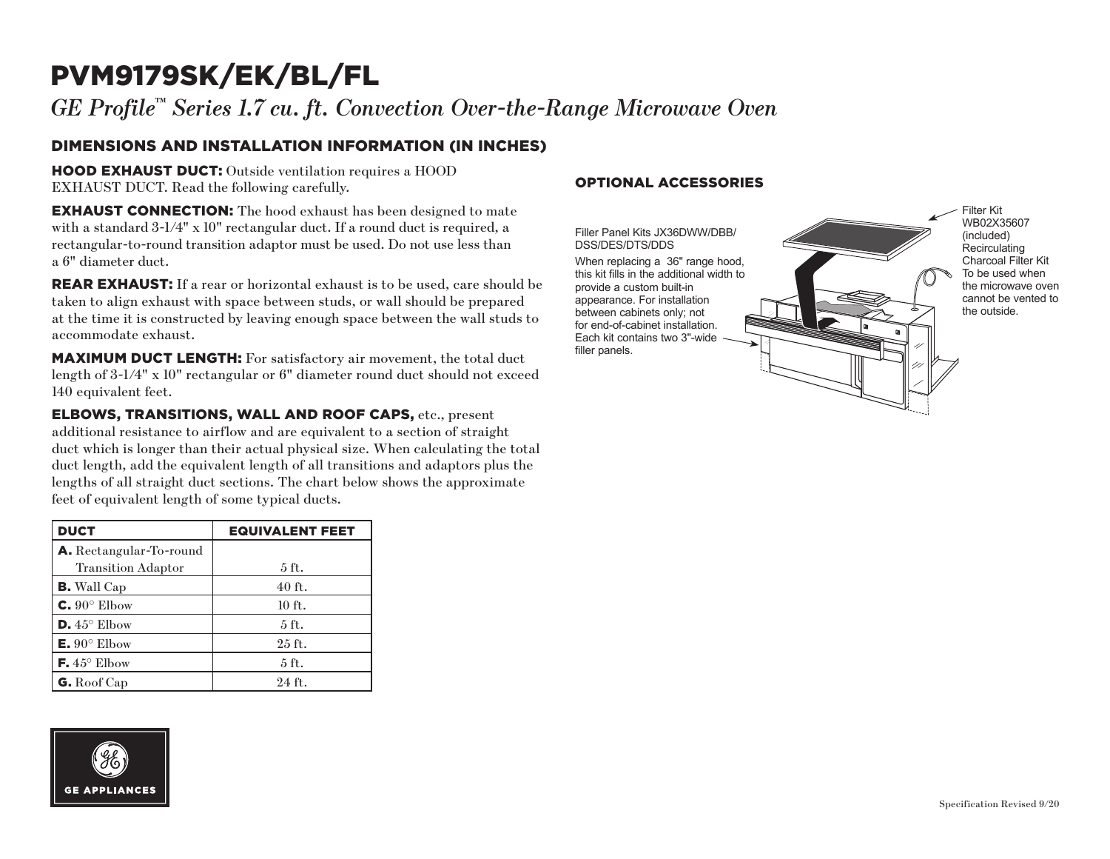# PVM9179SK/EK/BL/FL

*GE Profile™ Series 1.7 cu. ft. Convection Over-the-Range Microwave Oven*

### DIMENSIONS AND INSTALLATION INFORMATION (IN INCHES)

HOOD EXHAUST DUCT: Outside ventilation requires a HOOD EXHAUST DUCT. Read the following carefully.

**EXHAUST CONNECTION:** The hood exhaust has been designed to mate with a standard  $3\text{-}1/4$ " x 10" rectangular duct. If a round duct is required, a rectangular-to-round transition adaptor must be used. Do not use less than a 6" diameter duct.

**REAR EXHAUST:** If a rear or horizontal exhaust is to be used, care should be taken to align exhaust with space between studs, or wall should be prepared at the time it is constructed by leaving enough space between the wall studs to accommodate exhaust.

MAXIMUM DUCT LENGTH: For satisfactory air movement, the total duct length of 3-1/4" x 10" rectangular or 6" diameter round duct should not exceed 140 equivalent feet.

ELBOWS, TRANSITIONS, WALL AND ROOF CAPS, etc., present additional resistance to airflow and are equivalent to a section of straight duct which is longer than their actual physical size. When calculating the total duct length, add the equivalent length of all transitions and adaptors plus the lengths of all straight duct sections. The chart below shows the approximate feet of equivalent length of some typical ducts.

| <b>DUCT</b>                    | <b>EQUIVALENT FEET</b> |
|--------------------------------|------------------------|
| <b>A.</b> Rectangular-To-round |                        |
| <b>Transition Adaptor</b>      | 5 ft.                  |
| <b>B.</b> Wall Cap             | $40$ ft.               |
| $C. 90^\circ$ Elbow            | $10$ ft.               |
| $\mathsf{D.45}^{\circ}$ Elbow  | $5$ ft.                |
| $E. 90^{\circ}$ Elbow          | $25$ ft.               |
| <b>F.</b> $45^{\circ}$ Elbow   | 5 ft.                  |
| G. Roof Cap                    | 24 ft.                 |

## OPTIONAL ACCESSORIES

Filler Panel Kits JX36DWW/DBB/ DSS/DES/DTS/DDS

When replacing a 36" range hood, this kit fills in the additional width to provide a custom built-in appearance. For installation between cabinets only; not for end-of-cabinet installation. Each kit contains two 3"-wide filler panels.

Filter Kit WB02X35607 (included) **Recirculating** Charcoal Filter Kit To be used when the microwave oven cannot be vented to the outside.